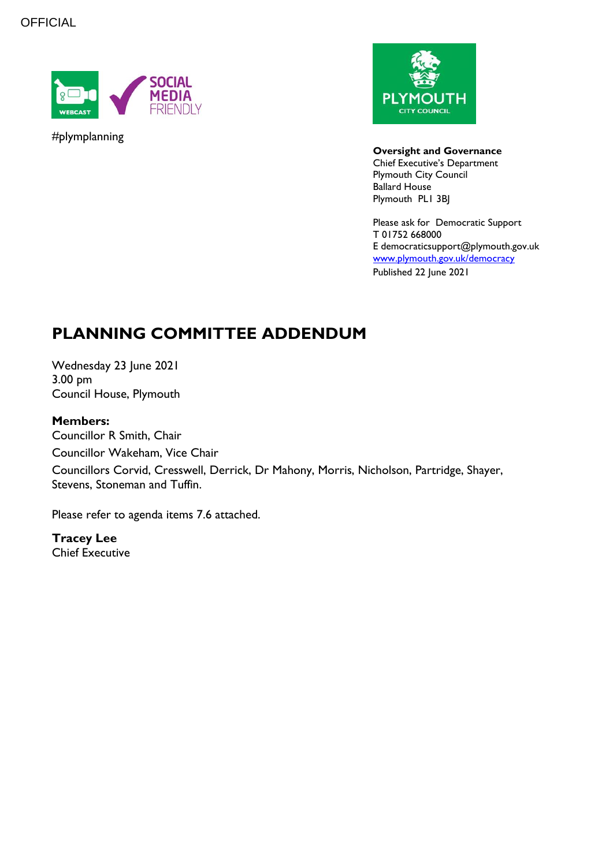**OFFICIAL** 



#plymplanning



#### **Oversight and Governance**

Chief Executive's Department Plymouth City Council Ballard House Plymouth PL1 3BJ

Please ask for Democratic Support T 01752 668000 E democraticsupport@plymouth.gov.uk [www.plymouth.gov.uk/](http://www.plymouth.gov.uk/)democracy Published 22 June 2021

# **PLANNING COMMITTEE ADDENDUM**

Wednesday 23 June 2021 3.00 pm Council House, Plymouth

#### **Members:**

Councillor R Smith, Chair Councillor Wakeham, Vice Chair Councillors Corvid, Cresswell, Derrick, Dr Mahony, Morris, Nicholson, Partridge, Shayer, Stevens, Stoneman and Tuffin.

Please refer to agenda items 7.6 attached.

**Tracey Lee** Chief Executive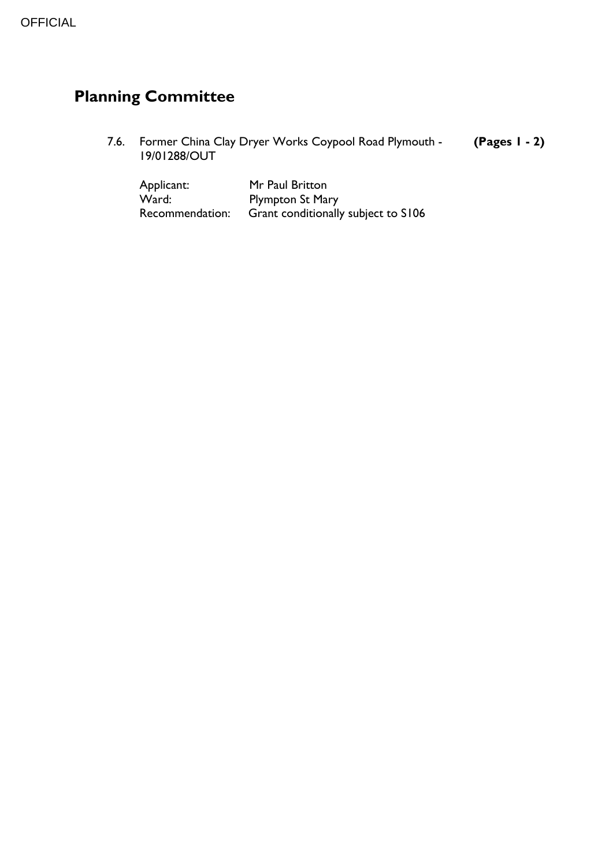# **Planning Committee**

7.6. Former China Clay Dryer Works Coypool Road Plymouth - **(Pages 1 - 2)** 19/01288/OUT

| Applicant:      | Mr Paul Britton                     |
|-----------------|-------------------------------------|
| Ward:           | <b>Plympton St Mary</b>             |
| Recommendation: | Grant conditionally subject to S106 |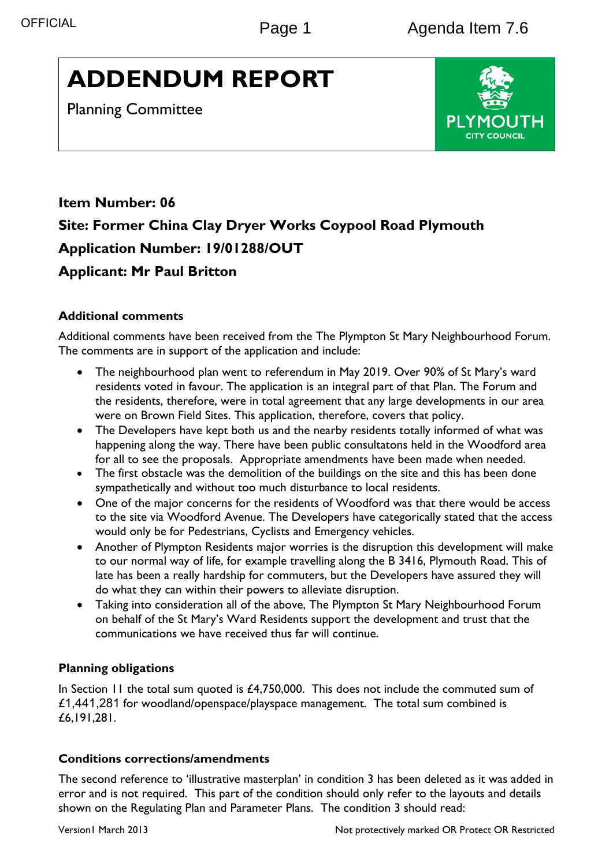# **ADDENDUM REPORT**

Planning Committee



# **Item Number: 06 Site: Former China Clay Dryer Works Coypool Road Plymouth Application Number: 19/01288/OUT Applicant: Mr Paul Britton**

# **Additional comments**

Additional comments have been received from the The Plympton St Mary Neighbourhood Forum. The comments are in support of the application and include:

- The neighbourhood plan went to referendum in May 2019. Over 90% of St Mary's ward residents voted in favour. The application is an integral part of that Plan. The Forum and the residents, therefore, were in total agreement that any large developments in our area were on Brown Field Sites. This application, therefore, covers that policy.
- The Developers have kept both us and the nearby residents totally informed of what was happening along the way. There have been public consultatons held in the Woodford area for all to see the proposals. Appropriate amendments have been made when needed.
- The first obstacle was the demolition of the buildings on the site and this has been done sympathetically and without too much disturbance to local residents.
- One of the major concerns for the residents of Woodford was that there would be access to the site via Woodford Avenue. The Developers have categorically stated that the access would only be for Pedestrians, Cyclists and Emergency vehicles.
- Another of Plympton Residents major worries is the disruption this development will make to our normal way of life, for example travelling along the B 3416, Plymouth Road. This of late has been a really hardship for commuters, but the Developers have assured they will do what they can within their powers to alleviate disruption.
- Taking into consideration all of the above, The Plympton St Mary Neighbourhood Forum on behalf of the St Mary's Ward Residents support the development and trust that the communications we have received thus far will continue.

# **Planning obligations**

In Section 11 the total sum quoted is £4,750,000. This does not include the commuted sum of £1,441,281 for woodland/openspace/playspace management. The total sum combined is £6,191,281.

# **Conditions corrections/amendments**

The second reference to 'illustrative masterplan' in condition 3 has been deleted as it was added in error and is not required. This part of the condition should only refer to the layouts and details shown on the Regulating Plan and Parameter Plans. The condition 3 should read: